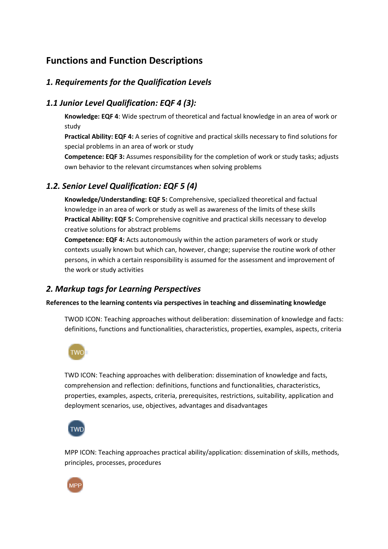# **Functions and Function Descriptions**

## *1. Requirements for the Qualification Levels*

### *1.1 Junior Level Qualification: EQF 4 (3):*

**Knowledge: EQF 4**: Wide spectrum of theoretical and factual knowledge in an area of work or study

**Practical Ability: EQF 4:** A series of cognitive and practical skills necessary to find solutions for special problems in an area of work or study

**Competence: EQF 3:** Assumes responsibility for the completion of work or study tasks; adjusts own behavior to the relevant circumstances when solving problems

# *1.2. Senior Level Qualification: EQF 5 (4)*

**Knowledge/Understanding: EQF 5:** Comprehensive, specialized theoretical and factual knowledge in an area of work or study as well as awareness of the limits of these skills **Practical Ability: EQF 5:** Comprehensive cognitive and practical skills necessary to develop creative solutions for abstract problems

**Competence: EQF 4:** Acts autonomously within the action parameters of work or study contexts usually known but which can, however, change; supervise the routine work of other persons, in which a certain responsibility is assumed for the assessment and improvement of the work or study activities

### *2. Markup tags for Learning Perspectives*

#### **References to the learning contents via perspectives in teaching and disseminating knowledge**

TWOD ICON: Teaching approaches without deliberation: dissemination of knowledge and facts: definitions, functions and functionalities, characteristics, properties, examples, aspects, criteria



TWD ICON: Teaching approaches with deliberation: dissemination of knowledge and facts, comprehension and reflection: definitions, functions and functionalities, characteristics, properties, examples, aspects, criteria, prerequisites, restrictions, suitability, application and deployment scenarios, use, objectives, advantages and disadvantages



MPP ICON: Teaching approaches practical ability/application: dissemination of skills, methods, principles, processes, procedures

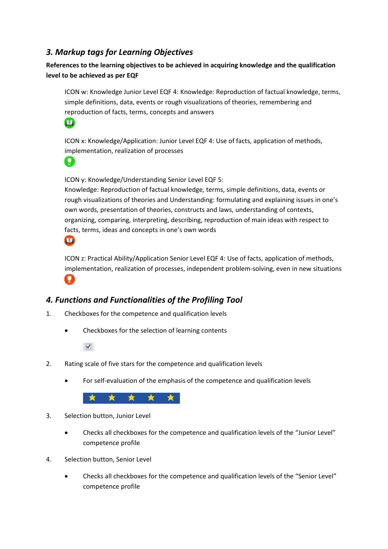## *3. Markup tags for Learning Objectives*

**References to the learning objectives to be achieved in acquiring knowledge and the qualification level to be achieved as per EQF**

ICON w: Knowledge Junior Level EQF 4: Knowledge: Reproduction of factual knowledge, terms, simple definitions, data, events or rough visualizations of theories, remembering and reproduction of facts, terms, concepts and answers



ICON x: Knowledge/Application: Junior Level EQF 4: Use of facts, application of methods, implementation, realization of processes



ICON y: Knowledge/Understanding Senior Level EQF 5:

Knowledge: Reproduction of factual knowledge, terms, simple definitions, data, events or rough visualizations of theories and Understanding: formulating and explaining issues in one's own words, presentation of theories, constructs and laws, understanding of contexts, organizing, comparing, interpreting, describing, reproduction of main ideas with respect to facts, terms, ideas and concepts in one's own words

m

ICON z: Practical Ability/Application Senior Level EQF 4: Use of facts, application of methods, implementation, realization of processes, independent problem-solving, even in new situations œ.

### *4. Functions and Functionalities of the Profiling Tool*

- 1. Checkboxes for the competence and qualification levels
	- Checkboxes for the selection of learning contents

 $\triangledown$ 

- 2. Rating scale of five stars for the competence and qualification levels
	- For self-evaluation of the emphasis of the competence and qualification levels



- 3. Selection button, Junior Level
	- Checks all checkboxes for the competence and qualification levels of the "Junior Level" competence profile
- 4. Selection button, Senior Level
	- Checks all checkboxes for the competence and qualification levels of the "Senior Level" competence profile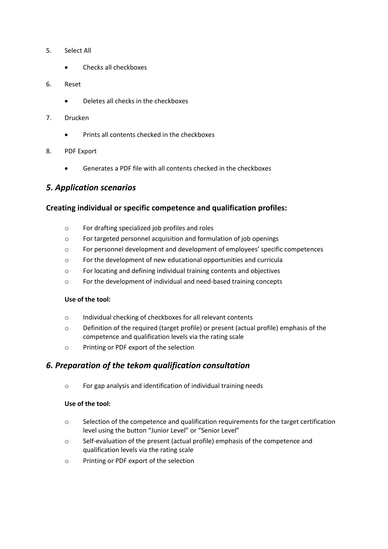- 5. Select All
	- Checks all checkboxes
- 6. Reset
	- Deletes all checks in the checkboxes
- 7. Drucken
	- Prints all contents checked in the checkboxes
- 8. PDF Export
	- Generates a PDF file with all contents checked in the checkboxes

### *5. Application scenarios*

### **Creating individual or specific competence and qualification profiles:**

- o For drafting specialized job profiles and roles
- o For targeted personnel acquisition and formulation of job openings
- o For personnel development and development of employees' specific competences
- o For the development of new educational opportunities and curricula
- o For locating and defining individual training contents and objectives
- o For the development of individual and need-based training concepts

#### **Use of the tool:**

- o Individual checking of checkboxes for all relevant contents
- o Definition of the required (target profile) or present (actual profile) emphasis of the competence and qualification levels via the rating scale
- o Printing or PDF export of the selection

### *6. Preparation of the tekom qualification consultation*

o For gap analysis and identification of individual training needs

#### **Use of the tool:**

- $\circ$  Selection of the competence and qualification requirements for the target certification level using the button "Junior Level" or "Senior Level"
- o Self-evaluation of the present (actual profile) emphasis of the competence and qualification levels via the rating scale
- o Printing or PDF export of the selection